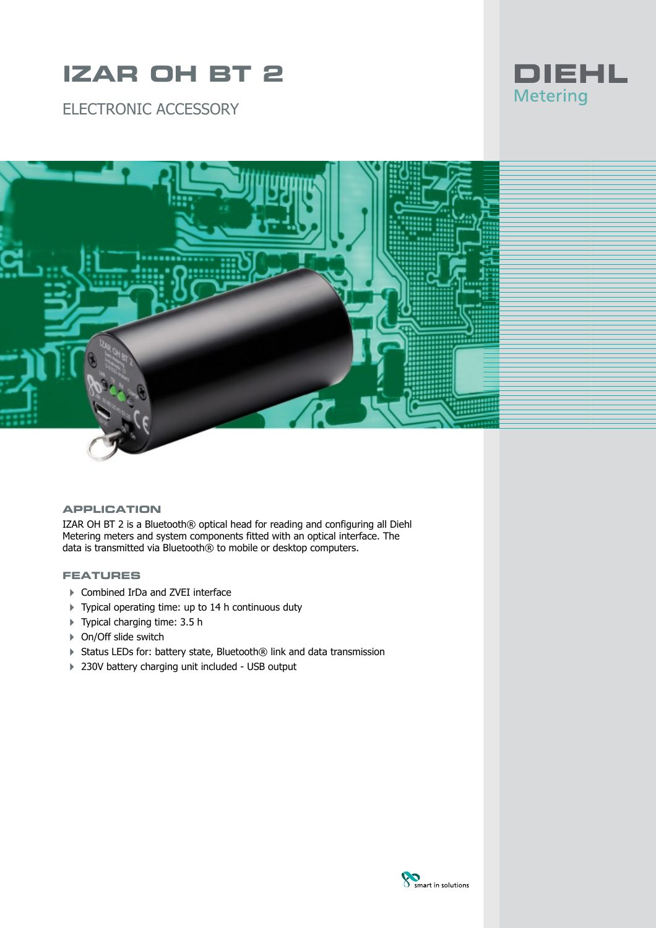# **IZAR OH BT 2**

ELECTRONIC ACCESSORY





### **APPLICATION**

IZAR OH BT 2 is a Bluetooth® optical head for reading and configuring all Diehl Metering meters and system components fitted with an optical interface. The data is transmitted via Bluetooth® to mobile or desktop computers.

#### **FEATURES**

- ▶ Combined IrDa and ZVEI interface
- 4 Typical operating time: up to 14 h continuous duty
- ▶ Typical charging time: 3.5 h
- ▶ On/Off slide switch
- ▶ Status LEDs for: battery state, Bluetooth® link and data transmission
- ▶ 230V battery charging unit included USB output